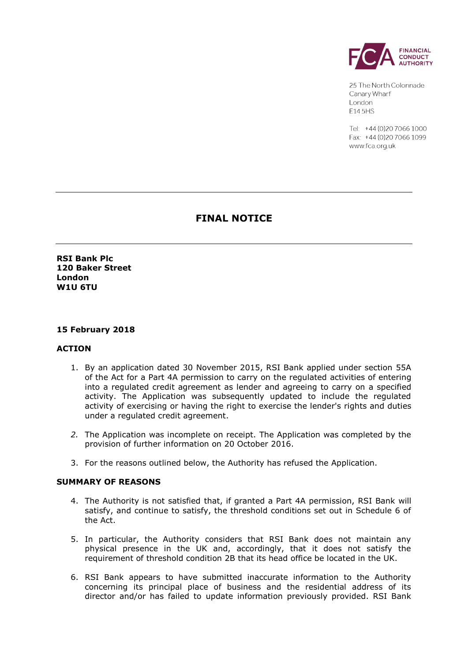

25 The North Colonnade Canary Wharf London F145HS

Tel: +44 (0) 20 7066 1000 Fax: +44 (0) 20 70 66 1099 www.fca.org.uk

# **FINAL NOTICE**

**RSI Bank Plc 120 Baker Street London W1U 6TU**

#### **15 February 2018**

#### **ACTION**

- 1. By an application dated 30 November 2015, RSI Bank applied under section 55A of the Act for a Part 4A permission to carry on the regulated activities of entering into a regulated credit agreement as lender and agreeing to carry on a specified activity. The Application was subsequently updated to include the regulated activity of exercising or having the right to exercise the lender's rights and duties under a regulated credit agreement.
- *2.* The Application was incomplete on receipt. The Application was completed by the provision of further information on 20 October 2016.
- 3. For the reasons outlined below, the Authority has refused the Application.

#### **SUMMARY OF REASONS**

- 4. The Authority is not satisfied that, if granted a Part 4A permission, RSI Bank will satisfy, and continue to satisfy, the threshold conditions set out in Schedule 6 of the Act.
- 5. In particular, the Authority considers that RSI Bank does not maintain any physical presence in the UK and, accordingly, that it does not satisfy the requirement of threshold condition 2B that its head office be located in the UK.
- 6. RSI Bank appears to have submitted inaccurate information to the Authority concerning its principal place of business and the residential address of its director and/or has failed to update information previously provided. RSI Bank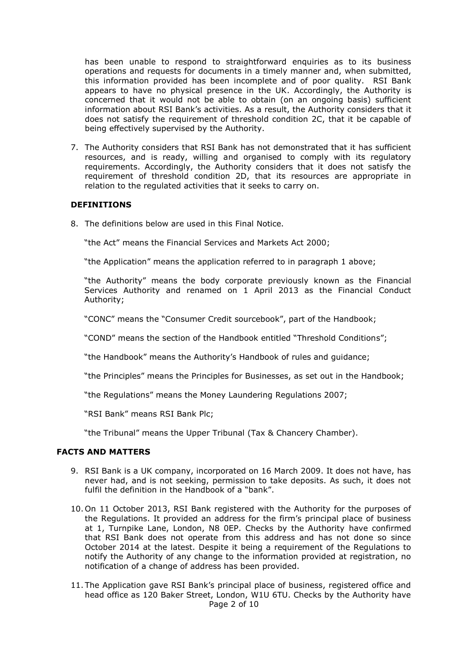has been unable to respond to straightforward enquiries as to its business operations and requests for documents in a timely manner and, when submitted, this information provided has been incomplete and of poor quality. RSI Bank appears to have no physical presence in the UK. Accordingly, the Authority is concerned that it would not be able to obtain (on an ongoing basis) sufficient information about RSI Bank's activities. As a result, the Authority considers that it does not satisfy the requirement of threshold condition 2C, that it be capable of being effectively supervised by the Authority.

7. The Authority considers that RSI Bank has not demonstrated that it has sufficient resources, and is ready, willing and organised to comply with its regulatory requirements. Accordingly, the Authority considers that it does not satisfy the requirement of threshold condition 2D, that its resources are appropriate in relation to the regulated activities that it seeks to carry on.

#### **DEFINITIONS**

8. The definitions below are used in this Final Notice.

"the Act" means the Financial Services and Markets Act 2000;

"the Application" means the application referred to in paragraph 1 above;

"the Authority" means the body corporate previously known as the Financial Services Authority and renamed on 1 April 2013 as the Financial Conduct Authority;

"CONC" means the "Consumer Credit sourcebook", part of the Handbook;

"COND" means the section of the Handbook entitled "Threshold Conditions";

"the Handbook" means the Authority's Handbook of rules and guidance;

"the Principles" means the Principles for Businesses, as set out in the Handbook;

"the Regulations" means the Money Laundering Regulations 2007;

"RSI Bank" means RSI Bank Plc;

"the Tribunal" means the Upper Tribunal (Tax & Chancery Chamber).

### **FACTS AND MATTERS**

- 9. RSI Bank is a UK company, incorporated on 16 March 2009. It does not have, has never had, and is not seeking, permission to take deposits. As such, it does not fulfil the definition in the Handbook of a "bank".
- 10. On 11 October 2013, RSI Bank registered with the Authority for the purposes of the Regulations. It provided an address for the firm's principal place of business at 1, Turnpike Lane, London, N8 0EP. Checks by the Authority have confirmed that RSI Bank does not operate from this address and has not done so since October 2014 at the latest. Despite it being a requirement of the Regulations to notify the Authority of any change to the information provided at registration, no notification of a change of address has been provided.
- Page 2 of 10 11. The Application gave RSI Bank's principal place of business, registered office and head office as 120 Baker Street, London, W1U 6TU. Checks by the Authority have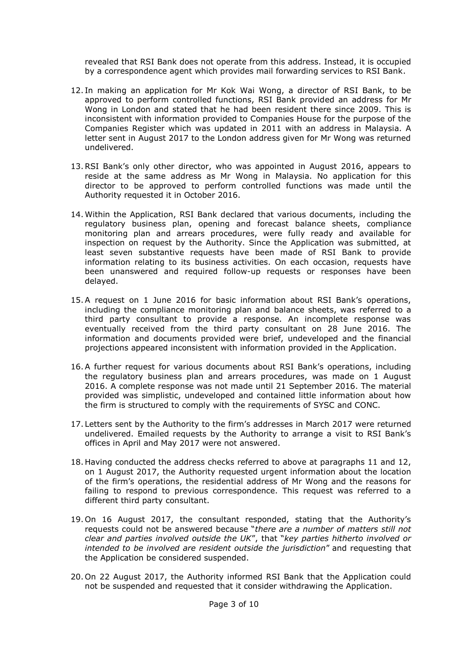revealed that RSI Bank does not operate from this address. Instead, it is occupied by a correspondence agent which provides mail forwarding services to RSI Bank.

- 12. In making an application for Mr Kok Wai Wong, a director of RSI Bank, to be approved to perform controlled functions, RSI Bank provided an address for Mr Wong in London and stated that he had been resident there since 2009. This is inconsistent with information provided to Companies House for the purpose of the Companies Register which was updated in 2011 with an address in Malaysia. A letter sent in August 2017 to the London address given for Mr Wong was returned undelivered.
- 13.RSI Bank's only other director, who was appointed in August 2016, appears to reside at the same address as Mr Wong in Malaysia. No application for this director to be approved to perform controlled functions was made until the Authority requested it in October 2016.
- 14. Within the Application, RSI Bank declared that various documents, including the regulatory business plan, opening and forecast balance sheets, compliance monitoring plan and arrears procedures, were fully ready and available for inspection on request by the Authority. Since the Application was submitted, at least seven substantive requests have been made of RSI Bank to provide information relating to its business activities. On each occasion, requests have been unanswered and required follow-up requests or responses have been delayed.
- 15.A request on 1 June 2016 for basic information about RSI Bank's operations, including the compliance monitoring plan and balance sheets, was referred to a third party consultant to provide a response. An incomplete response was eventually received from the third party consultant on 28 June 2016. The information and documents provided were brief, undeveloped and the financial projections appeared inconsistent with information provided in the Application.
- 16.A further request for various documents about RSI Bank's operations, including the regulatory business plan and arrears procedures, was made on 1 August 2016. A complete response was not made until 21 September 2016. The material provided was simplistic, undeveloped and contained little information about how the firm is structured to comply with the requirements of SYSC and CONC.
- 17. Letters sent by the Authority to the firm's addresses in March 2017 were returned undelivered. Emailed requests by the Authority to arrange a visit to RSI Bank's offices in April and May 2017 were not answered.
- 18. Having conducted the address checks referred to above at paragraphs 11 and 12, on 1 August 2017, the Authority requested urgent information about the location of the firm's operations, the residential address of Mr Wong and the reasons for failing to respond to previous correspondence. This request was referred to a different third party consultant.
- 19. On 16 August 2017, the consultant responded, stating that the Authority's requests could not be answered because "*there are a number of matters still not clear and parties involved outside the UK*", that "*key parties hitherto involved or intended to be involved are resident outside the jurisdiction*" and requesting that the Application be considered suspended.
- 20. On 22 August 2017, the Authority informed RSI Bank that the Application could not be suspended and requested that it consider withdrawing the Application.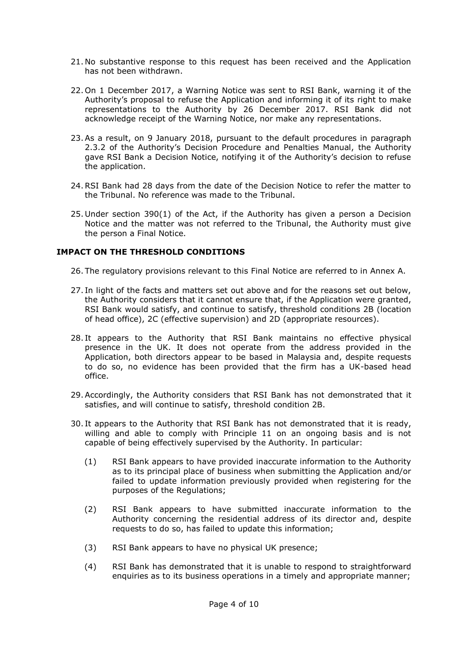- 21. No substantive response to this request has been received and the Application has not been withdrawn.
- 22. On 1 December 2017, a Warning Notice was sent to RSI Bank, warning it of the Authority's proposal to refuse the Application and informing it of its right to make representations to the Authority by 26 December 2017. RSI Bank did not acknowledge receipt of the Warning Notice, nor make any representations.
- 23.As a result, on 9 January 2018, pursuant to the default procedures in paragraph 2.3.2 of the Authority's Decision Procedure and Penalties Manual, the Authority gave RSI Bank a Decision Notice, notifying it of the Authority's decision to refuse the application.
- 24.RSI Bank had 28 days from the date of the Decision Notice to refer the matter to the Tribunal. No reference was made to the Tribunal.
- 25. Under section 390(1) of the Act, if the Authority has given a person a Decision Notice and the matter was not referred to the Tribunal, the Authority must give the person a Final Notice.

# **IMPACT ON THE THRESHOLD CONDITIONS**

26. The regulatory provisions relevant to this Final Notice are referred to in Annex A.

- 27. In light of the facts and matters set out above and for the reasons set out below, the Authority considers that it cannot ensure that, if the Application were granted, RSI Bank would satisfy, and continue to satisfy, threshold conditions 2B (location of head office), 2C (effective supervision) and 2D (appropriate resources).
- 28. It appears to the Authority that RSI Bank maintains no effective physical presence in the UK. It does not operate from the address provided in the Application, both directors appear to be based in Malaysia and, despite requests to do so, no evidence has been provided that the firm has a UK-based head office.
- 29.Accordingly, the Authority considers that RSI Bank has not demonstrated that it satisfies, and will continue to satisfy, threshold condition 2B.
- 30. It appears to the Authority that RSI Bank has not demonstrated that it is ready, willing and able to comply with Principle 11 on an ongoing basis and is not capable of being effectively supervised by the Authority. In particular:
	- (1) RSI Bank appears to have provided inaccurate information to the Authority as to its principal place of business when submitting the Application and/or failed to update information previously provided when registering for the purposes of the Regulations;
	- (2) RSI Bank appears to have submitted inaccurate information to the Authority concerning the residential address of its director and, despite requests to do so, has failed to update this information;
	- (3) RSI Bank appears to have no physical UK presence;
	- (4) RSI Bank has demonstrated that it is unable to respond to straightforward enquiries as to its business operations in a timely and appropriate manner;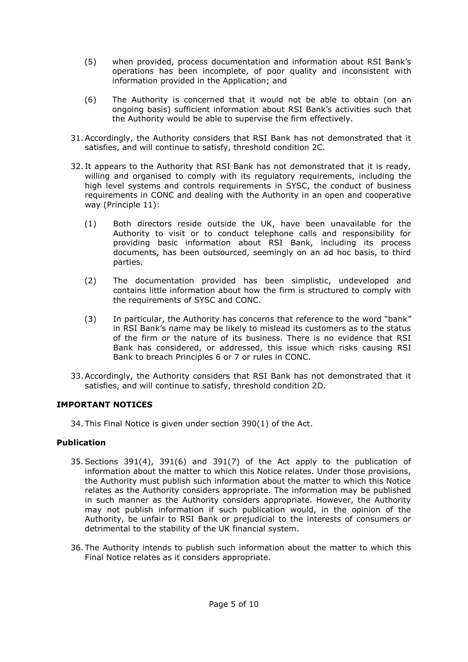- (5) when provided, process documentation and information about RSI Bank's operations has been incomplete, of poor quality and inconsistent with information provided in the Application; and
- (6) The Authority is concerned that it would not be able to obtain (on an ongoing basis) sufficient information about RSI Bank's activities such that the Authority would be able to supervise the firm effectively.
- 31.Accordingly, the Authority considers that RSI Bank has not demonstrated that it satisfies, and will continue to satisfy, threshold condition 2C.
- 32. It appears to the Authority that RSI Bank has not demonstrated that it is ready, willing and organised to comply with its regulatory requirements, including the high level systems and controls requirements in SYSC, the conduct of business requirements in CONC and dealing with the Authority in an open and cooperative way (Principle 11):
	- (1) Both directors reside outside the UK, have been unavailable for the Authority to visit or to conduct telephone calls and responsibility for providing basic information about RSI Bank, including its process documents, has been outsourced, seemingly on an ad hoc basis, to third parties.
	- (2) The documentation provided has been simplistic, undeveloped and contains little information about how the firm is structured to comply with the requirements of SYSC and CONC.
	- (3) In particular, the Authority has concerns that reference to the word "bank" in RSI Bank's name may be likely to mislead its customers as to the status of the firm or the nature of its business. There is no evidence that RSI Bank has considered, or addressed, this issue which risks causing RSI Bank to breach Principles 6 or 7 or rules in CONC.
- 33.Accordingly, the Authority considers that RSI Bank has not demonstrated that it satisfies, and will continue to satisfy, threshold condition 2D.

# **IMPORTANT NOTICES**

34. This Final Notice is given under section 390(1) of the Act.

# **Publication**

- 35.Sections 391(4), 391(6) and 391(7) of the Act apply to the publication of information about the matter to which this Notice relates. Under those provisions, the Authority must publish such information about the matter to which this Notice relates as the Authority considers appropriate. The information may be published in such manner as the Authority considers appropriate. However, the Authority may not publish information if such publication would, in the opinion of the Authority, be unfair to RSI Bank or prejudicial to the interests of consumers or detrimental to the stability of the UK financial system.
- 36. The Authority intends to publish such information about the matter to which this Final Notice relates as it considers appropriate.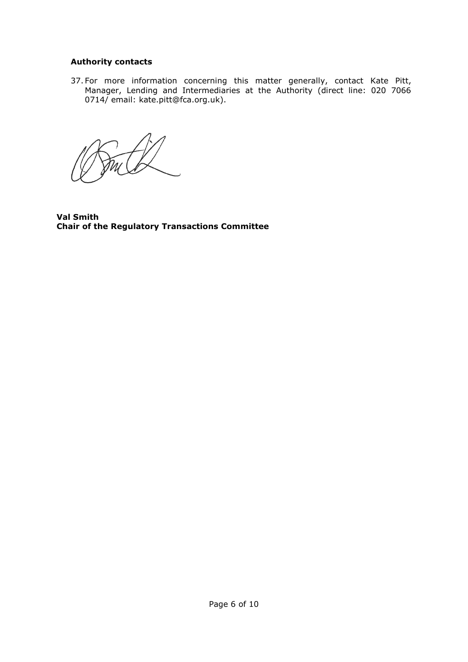# **Authority contacts**

37. For more information concerning this matter generally, contact Kate Pitt, Manager, Lending and Intermediaries at the Authority (direct line: 020 7066 0714/ email: kate.pitt@fca.org.uk).

**Val Smith Chair of the Regulatory Transactions Committee**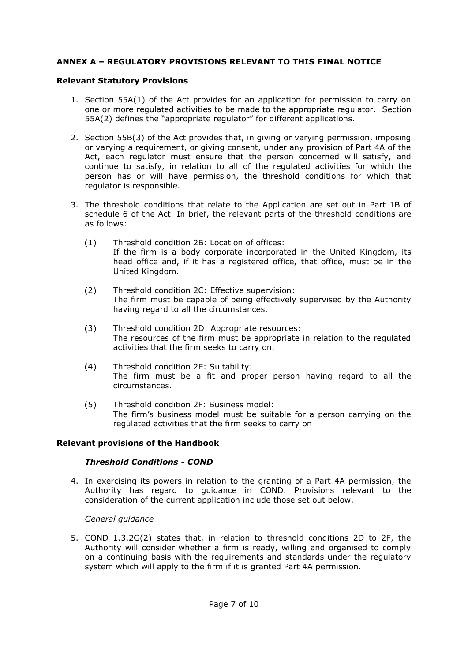# **ANNEX A – REGULATORY PROVISIONS RELEVANT TO THIS FINAL NOTICE**

### **Relevant Statutory Provisions**

- 1. Section 55A(1) of the Act provides for an application for permission to carry on one or more regulated activities to be made to the appropriate regulator. Section 55A(2) defines the "appropriate regulator" for different applications.
- 2. Section 55B(3) of the Act provides that, in giving or varying permission, imposing or varying a requirement, or giving consent, under any provision of Part 4A of the Act, each regulator must ensure that the person concerned will satisfy, and continue to satisfy, in relation to all of the regulated activities for which the person has or will have permission, the threshold conditions for which that regulator is responsible.
- 3. The threshold conditions that relate to the Application are set out in Part 1B of schedule 6 of the Act. In brief, the relevant parts of the threshold conditions are as follows:
	- (1) Threshold condition 2B: Location of offices: If the firm is a body corporate incorporated in the United Kingdom, its head office and, if it has a registered office, that office, must be in the United Kingdom.
	- (2) Threshold condition 2C: Effective supervision: The firm must be capable of being effectively supervised by the Authority having regard to all the circumstances.
	- (3) Threshold condition 2D: Appropriate resources: The resources of the firm must be appropriate in relation to the regulated activities that the firm seeks to carry on.
	- (4) Threshold condition 2E: Suitability: The firm must be a fit and proper person having regard to all the circumstances.
	- (5) Threshold condition 2F: Business model: The firm's business model must be suitable for a person carrying on the regulated activities that the firm seeks to carry on

# **Relevant provisions of the Handbook**

# *Threshold Conditions - COND*

4. In exercising its powers in relation to the granting of a Part 4A permission, the Authority has regard to guidance in COND. Provisions relevant to the consideration of the current application include those set out below.

#### *General guidance*

5. COND 1.3.2G(2) states that, in relation to threshold conditions 2D to 2F, the Authority will consider whether a firm is ready, willing and organised to comply on a continuing basis with the requirements and standards under the regulatory system which will apply to the firm if it is granted Part 4A permission.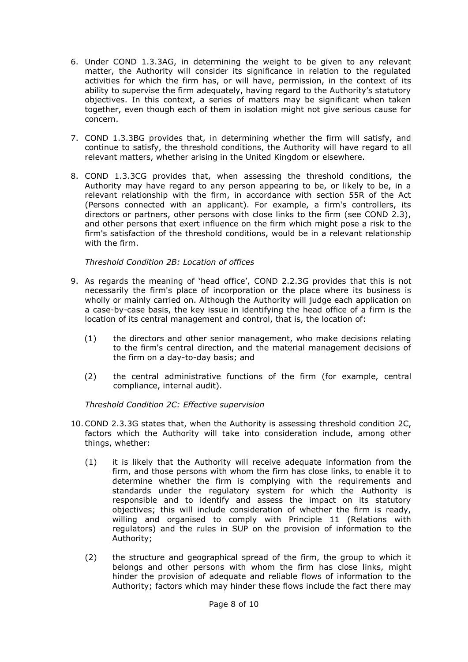- 6. Under COND 1.3.3AG, in determining the weight to be given to any relevant matter, the Authority will consider its significance in relation to the regulated activities for which the firm has, or will have, permission, in the context of its ability to supervise the firm adequately, having regard to the Authority's statutory objectives. In this context, a series of matters may be significant when taken together, even though each of them in isolation might not give serious cause for concern.
- 7. COND 1.3.3BG provides that, in determining whether the firm will satisfy, and continue to satisfy, the threshold conditions, the Authority will have regard to all relevant matters, whether arising in the United Kingdom or elsewhere.
- 8. COND 1.3.3CG provides that, when assessing the threshold conditions, the Authority may have regard to any person appearing to be, or likely to be, in a relevant relationship with the firm, in accordance with section 55R of the Act (Persons connected with an applicant). For example, a firm's controllers, its directors or partners, other persons with close links to the firm (see COND 2.3), and other persons that exert influence on the firm which might pose a risk to the firm's satisfaction of the threshold conditions, would be in a relevant relationship with the firm.

# *Threshold Condition 2B: Location of offices*

- 9. As regards the meaning of 'head office', COND 2.2.3G provides that this is not necessarily the firm's place of incorporation or the place where its business is wholly or mainly carried on. Although the Authority will judge each application on a case-by-case basis, the key issue in identifying the head office of a firm is the location of its central management and control, that is, the location of:
	- (1) the directors and other senior management, who make decisions relating to the firm's central direction, and the material management decisions of the firm on a day-to-day basis; and
	- (2) the central administrative functions of the firm (for example, central compliance, internal audit).

*Threshold Condition 2C: Effective supervision*

- 10.COND 2.3.3G states that, when the Authority is assessing threshold condition 2C, factors which the Authority will take into consideration include, among other things, whether:
	- (1) it is likely that the Authority will receive adequate information from the firm, and those persons with whom the firm has close links, to enable it to determine whether the firm is complying with the requirements and standards under the regulatory system for which the Authority is responsible and to identify and assess the impact on its statutory objectives; this will include consideration of whether the firm is ready, willing and organised to comply with Principle 11 (Relations with regulators) and the rules in SUP on the provision of information to the Authority;
	- (2) the structure and geographical spread of the firm, the group to which it belongs and other persons with whom the firm has close links, might hinder the provision of adequate and reliable flows of information to the Authority; factors which may hinder these flows include the fact there may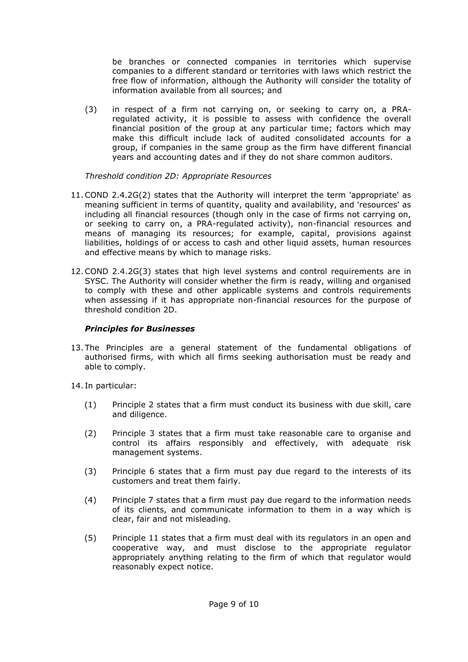be branches or connected companies in territories which supervise companies to a different standard or territories with laws which restrict the free flow of information, although the Authority will consider the totality of information available from all sources; and

(3) in respect of a firm not carrying on, or seeking to carry on, a PRAregulated activity, it is possible to assess with confidence the overall financial position of the group at any particular time; factors which may make this difficult include lack of audited consolidated accounts for a group, if companies in the same group as the firm have different financial years and accounting dates and if they do not share common auditors.

*Threshold condition 2D: Appropriate Resources*

- 11.COND 2.4.2G(2) states that the Authority will interpret the term 'appropriate' as meaning sufficient in terms of quantity, quality and availability, and 'resources' as including all financial resources (though only in the case of firms not carrying on, or seeking to carry on, a PRA-regulated activity), non-financial resources and means of managing its resources; for example, capital, provisions against liabilities, holdings of or access to cash and other liquid assets, human resources and effective means by which to manage risks.
- 12.COND 2.4.2G(3) states that high level systems and control requirements are in SYSC. The Authority will consider whether the firm is ready, willing and organised to comply with these and other applicable systems and controls requirements when assessing if it has appropriate non-financial resources for the purpose of threshold condition 2D.

# *Principles for Businesses*

13. The Principles are a general statement of the fundamental obligations of authorised firms, with which all firms seeking authorisation must be ready and able to comply.

14. In particular:

- (1) Principle 2 states that a firm must conduct its business with due skill, care and diligence.
- (2) Principle 3 states that a firm must take reasonable care to organise and control its affairs responsibly and effectively, with adequate risk management systems.
- (3) Principle 6 states that a firm must pay due regard to the interests of its customers and treat them fairly.
- (4) Principle 7 states that a firm must pay due regard to the information needs of its clients, and communicate information to them in a way which is clear, fair and not misleading.
- (5) Principle 11 states that a firm must deal with its regulators in an open and cooperative way, and must disclose to the appropriate regulator appropriately anything relating to the firm of which that regulator would reasonably expect notice.